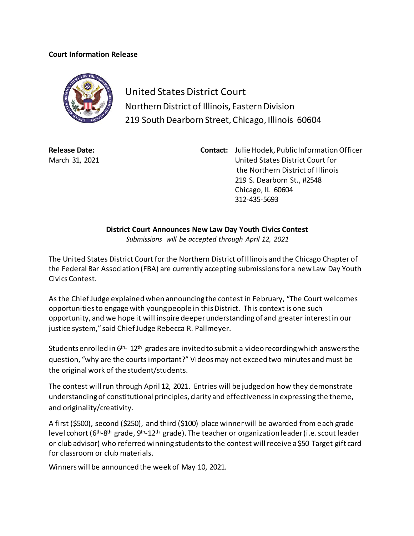## **Court Information Release**



United States District Court Northern District of Illinois, Eastern Division 219 South Dearborn Street, Chicago, Illinois 60604

**Release Date:** March 31, 2021 **Contact:** Julie Hodek, Public Information Officer United States District Court for the Northern District of Illinois 219 S. Dearborn St., #2548 Chicago, IL 60604 312-435-5693

**District Court Announces New Law Day Youth Civics Contest**

*Submissions will be accepted through April 12, 2021*

The United States District Court for the Northern District of Illinois and the Chicago Chapter of the Federal Bar Association (FBA) are currently accepting submissions for a new Law Day Youth Civics Contest.

As the Chief Judge explained when announcing the contest in February, "The Court welcomes opportunities to engage with young people in this District. This context is one such opportunity, and we hope it will inspire deeper understanding of and greater interest in our justice system," said Chief Judge Rebecca R. Pallmeyer.

Students enrolled in  $6<sup>th</sup>$ -12<sup>th</sup> grades are invited to submit a video recording which answers the question, "why are the courts important?" Videos may not exceed two minutes and must be the original work of the student/students.

The contest will run through April 12, 2021. Entries will be judged on how they demonstrate understanding of constitutional principles, clarity and effectiveness in expressing the theme, and originality/creativity.

A first (\$500), second (\$250), and third (\$100) place winner will be awarded from each grade level cohort (6<sup>th</sup>-8<sup>th</sup> grade, 9<sup>th</sup>-12<sup>th</sup> grade). The teacher or organization leader (i.e. scout leader or club advisor) who referred winning students to the contest will receive a \$50 Target gift card for classroom or club materials.

Winners will be announced the week of May 10, 2021.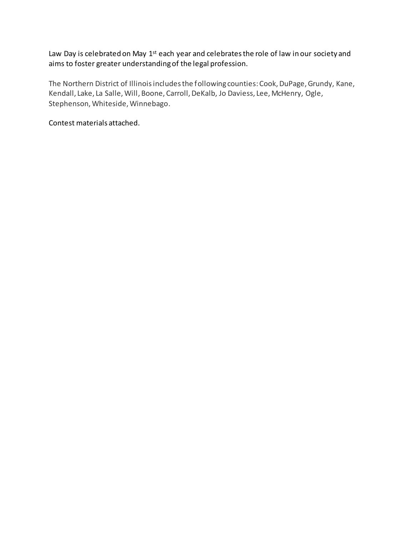Law Day is celebrated on May 1<sup>st</sup> each year and celebrates the role of law in our society and aims to foster greater understanding of the legal profession.

The Northern District of Illinois includes the following counties:Cook, DuPage, Grundy, Kane, Kendall, Lake, La Salle, Will, Boone, Carroll, DeKalb, Jo Daviess, Lee, McHenry, Ogle, Stephenson, Whiteside, Winnebago.

Contest materials attached.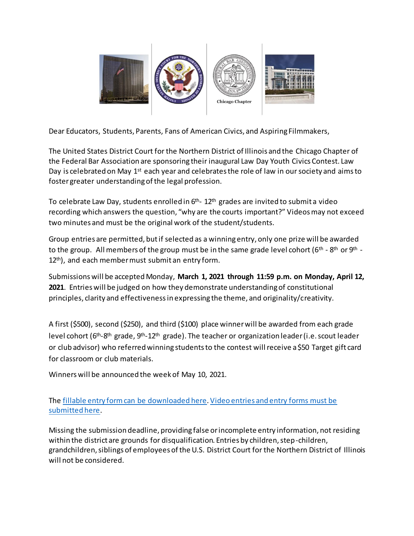

Dear Educators, Students, Parents, Fans of American Civics, and Aspiring Filmmakers,

The United States District Court for the Northern District of Illinois and the Chicago Chapter of the Federal Bar Association are sponsoring their inaugural Law Day Youth Civics Contest. Law Day is celebrated on May  $1<sup>st</sup>$  each year and celebrates the role of law in our society and aims to foster greater understanding of the legal profession.

To celebrate Law Day, students enrolled in 6<sup>th</sup>- 12<sup>th</sup> grades are invited to submit a video recording which answers the question, "why are the courts important?" Videos may not exceed two minutes and must be the original work of the student/students.

Group entries are permitted, but if selected as a winning entry, only one prize will be awarded to the group.  $\,$  All members of the group must be in the same grade level cohort (6th - 8th or 9th -12<sup>th</sup>), and each member must submit an entry form.

Submissions will be accepted Monday, **March 1, 2021 through 11:59 p.m. on Monday, April 12, 2021**. Entries will be judged on how they demonstrate understanding of constitutional principles, clarity and effectiveness in expressing the theme, and originality/creativity.

A first (\$500), second (\$250), and third (\$100) place winner will be awarded from each grade level cohort (6<sup>th</sup>-8<sup>th</sup> grade, 9<sup>th</sup>-12<sup>th</sup> grade). The teacher or organization leader (i.e. scout leader or club advisor) who referred winning students to the contest will receive a \$50 Target gift card for classroom or club materials.

Winners will be announced the week of May 10, 2021.

The [fillable entry form can be downloaded](https://iln.box.com/v/entryformLawDayVideo2021) here[. Video entries and entry forms must be](https://iln.app.box.com/f/c7d8c6bf865048238b85f12ec9e44d88)  [submitted here.](https://iln.app.box.com/f/c7d8c6bf865048238b85f12ec9e44d88)

Missing the submission deadline, providing false or incomplete entry information, not residing within the district are grounds for disqualification. Entries by children, step-children, grandchildren, siblings of employees of the U.S. District Court for the Northern District of Illinois will not be considered.